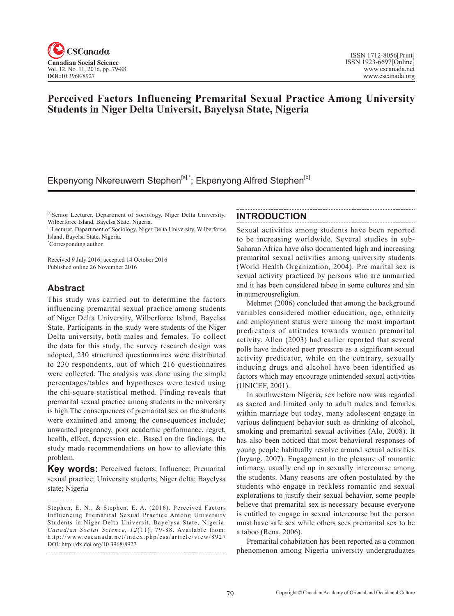

# **Perceived Factors Influencing Premarital Sexual Practice Among University Students in Niger Delta Universit, Bayelysa State, Nigeria**

# Ekpenyong Nkereuwem Stephen<sup>[a],\*</sup>; Ekpenyong Alfred Stephen<sup>[b]</sup>

[a]Senior Lecturer, Department of Sociology, Niger Delta University, Wilberforce Island, Bayelsa State, Nigeria.

[b]Lecturer, Department of Sociology, Niger Delta University, Wilberforce Island, Bayelsa State, Nigeria.

\* Corresponding author.

Received 9 July 2016; accepted 14 October 2016 Published online 26 November 2016

# **Abstract**

This study was carried out to determine the factors influencing premarital sexual practice among students of Niger Delta University, Wilberforce Island, Bayelsa State. Participants in the study were students of the Niger Delta university, both males and females. To collect the data for this study, the survey research design was adopted, 230 structured questionnaires were distributed to 230 respondents, out of which 216 questionnaires were collected. The analysis was done using the simple percentages/tables and hypotheses were tested using the chi-square statistical method. Finding reveals that premarital sexual practice among students in the university is high The consequences of premarital sex on the students were examined and among the consequences include; unwanted pregnancy, poor academic performance, regret, health, effect, depression etc.. Based on the findings, the study made recommendations on how to alleviate this problem.

**Key words:** Perceived factors; Influence; Premarital sexual practice; University students; Niger delta; Bayelysa state; Nigeria

Stephen, E. N., & Stephen, E. A. (2016). Perceived Factors Influencing Premarital Sexual Practice Among University Students in Niger Delta Universit, Bayelysa State, Nigeria. Canadian Social Science, 12(11), 79-88. Available from: http://www.cscanada.net/index.php/css/article/view/8927 DOI: http://dx.doi.org/10.3968/8927

## **INTRODUCTION**

Sexual activities among students have been reported to be increasing worldwide. Several studies in sub-Saharan Africa have also documented high and increasing premarital sexual activities among university students (World Health Organization, 2004). Pre marital sex is sexual activity practiced by persons who are unmarried and it has been considered taboo in some cultures and sin in numerousreligion.

Mehmet (2006) concluded that among the background variables considered mother education, age, ethnicity and employment status were among the most important predicators of attitudes towards women premarital activity. Allen (2003) had earlier reported that several polls have indicated peer pressure as a significant sexual activity predicator, while on the contrary, sexually inducing drugs and alcohol have been identified as factors which may encourage unintended sexual activities (UNICEF, 2001).

In southwestern Nigeria, sex before now was regarded as sacred and limited only to adult males and females within marriage but today, many adolescent engage in various delinquent behavior such as drinking of alcohol, smoking and premarital sexual activities (Alo, 2008). It has also been noticed that most behavioral responses of young people habitually revolve around sexual activities (Inyang, 2007). Engagement in the pleasure of romantic intimacy, usually end up in sexually intercourse among the students. Many reasons are often postulated by the students who engage in reckless romantic and sexual explorations to justify their sexual behavior, some people believe that premarital sex is necessary because everyone is entitled to engage in sexual intercourse but the person must have safe sex while others sees premarital sex to be a taboo (Rena, 2006).

Premarital cohabitation has been reported as a common phenomenon among Nigeria university undergraduates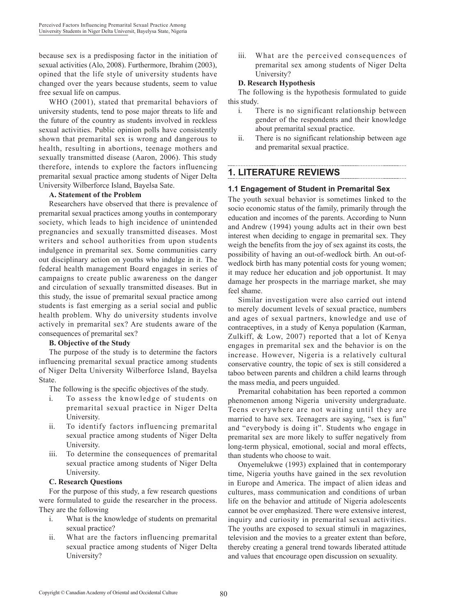because sex is a predisposing factor in the initiation of sexual activities (Alo, 2008). Furthermore, Ibrahim (2003), opined that the life style of university students have changed over the years because students, seem to value free sexual life on campus.

WHO (2001), stated that premarital behaviors of university students, tend to pose major threats to life and the future of the country as students involved in reckless sexual activities. Public opinion polls have consistently shown that premarital sex is wrong and dangerous to health, resulting in abortions, teenage mothers and sexually transmitted disease (Aaron, 2006). This study therefore, intends to explore the factors influencing premarital sexual practice among students of Niger Delta University Wilberforce Island, Bayelsa Sate.

#### **A. Statement of the Problem**

Researchers have observed that there is prevalence of premarital sexual practices among youths in contemporary society, which leads to high incidence of unintended pregnancies and sexually transmitted diseases. Most writers and school authorities from upon students indulgence in premarital sex. Some communities carry out disciplinary action on youths who indulge in it. The federal health management Board engages in series of campaigns to create public awareness on the danger and circulation of sexually transmitted diseases. But in this study, the issue of premarital sexual practice among students is fast emerging as a serial social and public health problem. Why do university students involve actively in premarital sex? Are students aware of the consequences of premarital sex?

### **B. Objective of the Study**

The purpose of the study is to determine the factors influencing premarital sexual practice among students of Niger Delta University Wilberforce Island, Bayelsa State.

The following is the specific objectives of the study.

- i. To assess the knowledge of students on premarital sexual practice in Niger Delta University.
- ii. To identify factors influencing premarital sexual practice among students of Niger Delta University.
- iii. To determine the consequences of premarital sexual practice among students of Niger Delta University.

#### **C. Research Questions**

For the purpose of this study, a few research questions were formulated to guide the researcher in the process. They are the following

- i. What is the knowledge of students on premarital sexual practice?
- ii. What are the factors influencing premarital sexual practice among students of Niger Delta University?

iii. What are the perceived consequences of premarital sex among students of Niger Delta University?

#### **D. Research Hypothesis**

The following is the hypothesis formulated to guide this study.

- i. There is no significant relationship between gender of the respondents and their knowledge about premarital sexual practice.
- ii. There is no significant relationship between age and premarital sexual practice.

# **1. LITERATURE REVIEWS**

## **1.1 Engagement of Student in Premarital Sex**

The youth sexual behavior is sometimes linked to the socio economic status of the family, primarily through the education and incomes of the parents. According to Nunn and Andrew (1994) young adults act in their own best interest when deciding to engage in premarital sex. They weigh the benefits from the joy of sex against its costs, the possibility of having an out-of-wedlock birth. An out-ofwedlock birth has many potential costs for young women; it may reduce her education and job opportunist. It may damage her prospects in the marriage market, she may feel shame.

Similar investigation were also carried out intend to merely document levels of sexual practice, numbers and ages of sexual partners, knowledge and use of contraceptives, in a study of Kenya population (Karman, Zulkiff, & Low, 2007) reported that a lot of Kenya engages in premarital sex and the behavior is on the increase. However, Nigeria is a relatively cultural conservative country, the topic of sex is still considered a taboo between parents and children a child learns through the mass media, and peers unguided.

Premarital cohabitation has been reported a common phenomenon among Nigeria university undergraduate. Teens everywhere are not waiting until they are married to have sex. Teenagers are saying, "sex is fun" and "everybody is doing it". Students who engage in premarital sex are more likely to suffer negatively from long-term physical, emotional, social and moral effects, than students who choose to wait.

Onyemelukwe (1993) explained that in contemporary time, Nigeria youths have gained in the sex revolution in Europe and America. The impact of alien ideas and cultures, mass communication and conditions of urban life on the behavior and attitude of Nigeria adolescents cannot be over emphasized. There were extensive interest, inquiry and curiosity in premarital sexual activities. The youths are exposed to sexual stimuli in magazines, television and the movies to a greater extent than before, thereby creating a general trend towards liberated attitude and values that encourage open discussion on sexuality.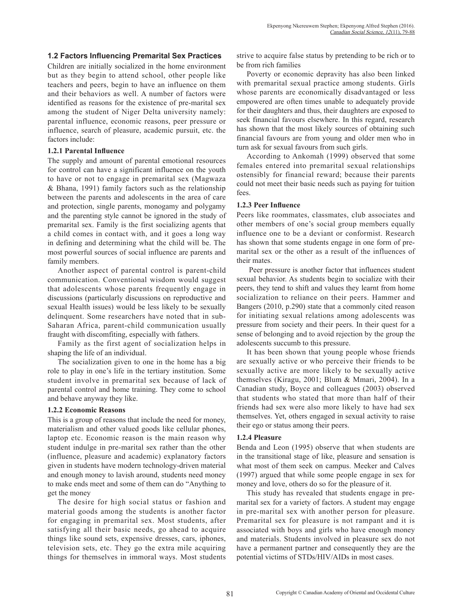### **1.2 Factors Influencing Premarital Sex Practices**

Children are initially socialized in the home environment but as they begin to attend school, other people like teachers and peers, begin to have an influence on them and their behaviors as well. A number of factors were identified as reasons for the existence of pre-marital sex among the student of Niger Delta university namely: parental influence, economic reasons, peer pressure or influence, search of pleasure, academic pursuit, etc. the factors include:

#### **1.2.1 Parental Influence**

The supply and amount of parental emotional resources for control can have a significant influence on the youth to have or not to engage in premarital sex (Magwaza & Bhana, 1991) family factors such as the relationship between the parents and adolescents in the area of care and protection, single parents, monogamy and polygamy and the parenting style cannot be ignored in the study of premarital sex. Family is the first socializing agents that a child comes in contact with, and it goes a long way in defining and determining what the child will be. The most powerful sources of social influence are parents and family members.

Another aspect of parental control is parent-child communication. Conventional wisdom would suggest that adolescents whose parents frequently engage in discussions (particularly discussions on reproductive and sexual Health issues) would be less likely to be sexually delinquent. Some researchers have noted that in sub-Saharan Africa, parent-child communication usually fraught with discomfiting, especially with fathers.

Family as the first agent of socialization helps in shaping the life of an individual.

The socialization given to one in the home has a big role to play in one's life in the tertiary institution. Some student involve in premarital sex because of lack of parental control and home training. They come to school and behave anyway they like.

#### **1.2.2 Economic Reasons**

This is a group of reasons that include the need for money, materialism and other valued goods like cellular phones, laptop etc. Economic reason is the main reason why student indulge in pre-marital sex rather than the other (influence, pleasure and academic) explanatory factors given in students have modern technology-driven material and enough money to lavish around, students need money to make ends meet and some of them can do "Anything to get the money

The desire for high social status or fashion and material goods among the students is another factor for engaging in premarital sex. Most students, after satisfying all their basic needs, go ahead to acquire things like sound sets, expensive dresses, cars, iphones, television sets, etc. They go the extra mile acquiring things for themselves in immoral ways. Most students strive to acquire false status by pretending to be rich or to be from rich families

Poverty or economic depravity has also been linked with premarital sexual practice among students. Girls whose parents are economically disadvantaged or less empowered are often times unable to adequately provide for their daughters and thus, their daughters are exposed to seek financial favours elsewhere. In this regard, research has shown that the most likely sources of obtaining such financial favours are from young and older men who in turn ask for sexual favours from such girls.

According to Ankomah (1999) observed that some females entered into premarital sexual relationships ostensibly for financial reward; because their parents could not meet their basic needs such as paying for tuition fees.

#### **1.2.3 Peer Influence**

Peers like roommates, classmates, club associates and other members of one's social group members equally influence one to be a deviant or conformist. Research has shown that some students engage in one form of premarital sex or the other as a result of the influences of their mates.

 Peer pressure is another factor that influences student sexual behavior. As students begin to socialize with their peers, they tend to shift and values they learnt from home socialization to reliance on their peers. Hammer and Bangers (2010, p.290) state that a commonly cited reason for initiating sexual relations among adolescents was pressure from society and their peers. In their quest for a sense of belonging and to avoid rejection by the group the adolescents succumb to this pressure.

It has been shown that young people whose friends are sexually active or who perceive their friends to be sexually active are more likely to be sexually active themselves (Kiragu, 2001; Blum & Mmari, 2004). In a Canadian study, Boyce and colleagues (2003) observed that students who stated that more than half of their friends had sex were also more likely to have had sex themselves. Yet, others engaged in sexual activity to raise their ego or status among their peers.

### **1.2.4 Pleasure**

Benda and Leon (1995) observe that when students are in the transitional stage of like, pleasure and sensation is what most of them seek on campus. Meeker and Calves (1997) argued that while some people engage in sex for money and love, others do so for the pleasure of it.

This study has revealed that students engage in premarital sex for a variety of factors. A student may engage in pre-marital sex with another person for pleasure. Premarital sex for pleasure is not rampant and it is associated with boys and girls who have enough money and materials. Students involved in pleasure sex do not have a permanent partner and consequently they are the potential victims of STDs/HIV/AIDs in most cases.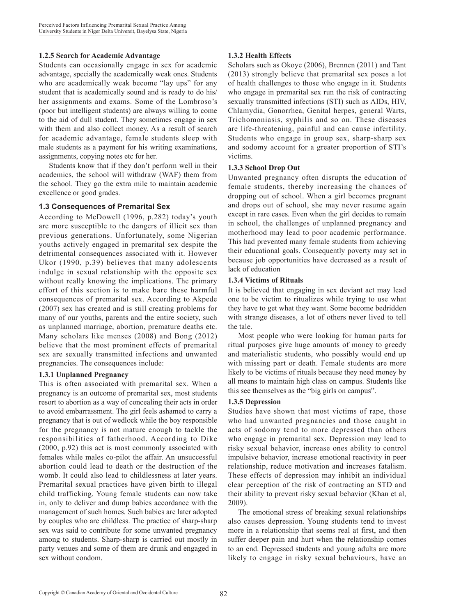#### **1.2.5 Search for Academic Advantage**

Students can occasionally engage in sex for academic advantage, specially the academically weak ones. Students who are academically weak become "lay ups" for any student that is academically sound and is ready to do his/ her assignments and exams. Some of the Lombroso's (poor but intelligent students) are always willing to come to the aid of dull student. They sometimes engage in sex with them and also collect money. As a result of search for academic advantage, female students sleep with male students as a payment for his writing examinations, assignments, copying notes etc for her.

Students know that if they don't perform well in their academics, the school will withdraw (WAF) them from the school. They go the extra mile to maintain academic excellence or good grades.

#### **1.3 Consequences of Premarital Sex**

According to McDowell (1996, p.282) today's youth are more susceptible to the dangers of illicit sex than previous generations. Unfortunately, some Nigerian youths actively engaged in premarital sex despite the detrimental consequences associated with it. However Ukor (1990, p.39) believes that many adolescents indulge in sexual relationship with the opposite sex without really knowing the implications. The primary effort of this section is to make bare these harmful consequences of premarital sex. According to Akpede (2007) sex has created and is still creating problems for many of our youths, parents and the entire society, such as unplanned marriage, abortion, premature deaths etc. Many scholars like menses (2008) and Bong (2012) believe that the most prominent effects of premarital sex are sexually transmitted infections and unwanted pregnancies. The consequences include:

#### **1.3.1 Unplanned Pregnancy**

This is often associated with premarital sex. When a pregnancy is an outcome of premarital sex, most students resort to abortion as a way of concealing their acts in order to avoid embarrassment. The girl feels ashamed to carry a pregnancy that is out of wedlock while the boy responsible for the pregnancy is not mature enough to tackle the responsibilities of fatherhood. According to Dike (2000, p.92) this act is most commonly associated with females while males co-pilot the affair. An unsuccessful abortion could lead to death or the destruction of the womb. It could also lead to childlessness at later years. Premarital sexual practices have given birth to illegal child trafficking. Young female students can now take in, only to deliver and dump babies accordance with the management of such homes. Such babies are later adopted by couples who are childless. The practice of sharp-sharp sex was said to contribute for some unwanted pregnancy among to students. Sharp-sharp is carried out mostly in party venues and some of them are drunk and engaged in sex without condom.

### **1.3.2 Health Effects**

Scholars such as Okoye (2006), Brennen (2011) and Tant (2013) strongly believe that premarital sex poses a lot of health challenges to those who engage in it. Students who engage in premarital sex run the risk of contracting sexually transmitted infections (STI) such as AIDs, HIV, Chlamydia, Gonorrhea, Genital herpes, general Warts, Trichomoniasis, syphilis and so on. These diseases are life-threatening, painful and can cause infertility. Students who engage in group sex, sharp-sharp sex and sodomy account for a greater proportion of STI's victims.

#### **1.3.3 School Drop Out**

Unwanted pregnancy often disrupts the education of female students, thereby increasing the chances of dropping out of school. When a girl becomes pregnant and drops out of school, she may never resume again except in rare cases. Even when the girl decides to remain in school, the challenges of unplanned pregnancy and motherhood may lead to poor academic performance. This had prevented many female students from achieving their educational goals. Consequently poverty may set in because job opportunities have decreased as a result of lack of education

#### **1.3.4 Victims of Rituals**

It is believed that engaging in sex deviant act may lead one to be victim to ritualizes while trying to use what they have to get what they want. Some become bedridden with strange diseases, a lot of others never lived to tell the tale.

Most people who were looking for human parts for ritual purposes give huge amounts of money to greedy and materialistic students, who possibly would end up with missing part or death. Female students are more likely to be victims of rituals because they need money by all means to maintain high class on campus. Students like this see themselves as the "big girls on campus".

#### **1.3.5 Depression**

Studies have shown that most victims of rape, those who had unwanted pregnancies and those caught in acts of sodomy tend to more depressed than others who engage in premarital sex. Depression may lead to risky sexual behavior, increase ones ability to control impulsive behavior, increase emotional reactivity in peer relationship, reduce motivation and increases fatalism. These effects of depression may inhibit an individual clear perception of the risk of contracting an STD and their ability to prevent risky sexual behavior (Khan et al, 2009).

The emotional stress of breaking sexual relationships also causes depression. Young students tend to invest more in a relationship that seems real at first, and then suffer deeper pain and hurt when the relationship comes to an end. Depressed students and young adults are more likely to engage in risky sexual behaviours, have an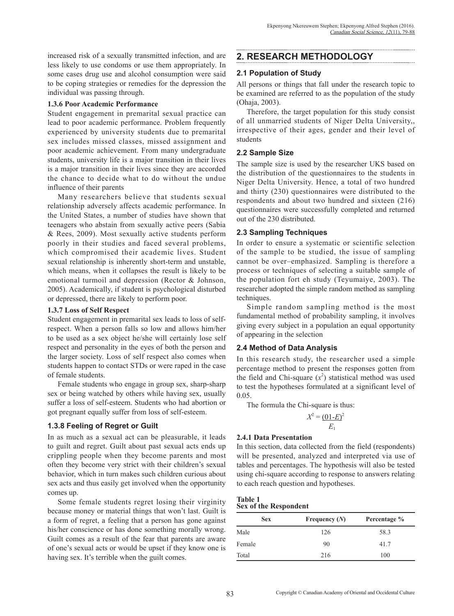increased risk of a sexually transmitted infection, and are less likely to use condoms or use them appropriately. In some cases drug use and alcohol consumption were said to be coping strategies or remedies for the depression the individual was passing through.

#### **1.3.6 Poor Academic Performance**

Student engagement in premarital sexual practice can lead to poor academic performance. Problem frequently experienced by university students due to premarital sex includes missed classes, missed assignment and poor academic achievement. From many undergraduate students, university life is a major transition in their lives is a major transition in their lives since they are accorded the chance to decide what to do without the undue influence of their parents

Many researchers believe that students sexual relationship adversely affects academic performance. In the United States, a number of studies have shown that teenagers who abstain from sexually active peers (Sabia & Rees, 2009). Most sexually active students perform poorly in their studies and faced several problems, which compromised their academic lives. Student sexual relationship is inherently short-term and unstable, which means, when it collapses the result is likely to be emotional turmoil and depression (Rector & Johnson, 2005). Academically, if student is psychological disturbed or depressed, there are likely to perform poor.

#### **1.3.7 Loss of Self Respect**

Student engagement in premarital sex leads to loss of selfrespect. When a person falls so low and allows him/her to be used as a sex object he/she will certainly lose self respect and personality in the eyes of both the person and the larger society. Loss of self respect also comes when students happen to contact STDs or were raped in the case of female students.

Female students who engage in group sex, sharp-sharp sex or being watched by others while having sex, usually suffer a loss of self-esteem. Students who had abortion or got pregnant equally suffer from loss of self-esteem.

### **1.3.8 Feeling of Regret or Guilt**

In as much as a sexual act can be pleasurable, it leads to guilt and regret. Guilt about past sexual acts ends up crippling people when they become parents and most often they become very strict with their children's sexual behavior, which in turn makes such children curious about sex acts and thus easily get involved when the opportunity comes up.

Some female students regret losing their virginity because money or material things that won't last. Guilt is a form of regret, a feeling that a person has gone against his/her conscience or has done something morally wrong. Guilt comes as a result of the fear that parents are aware of one's sexual acts or would be upset if they know one is having sex. It's terrible when the guilt comes.

# **2. RESEARCH METHODOLOGY**

## **2.1 Population of Study**

All persons or things that fall under the research topic to be examined are referred to as the population of the study (Ohaja, 2003).

Therefore, the target population for this study consist of all unmarried students of Niger Delta University,, irrespective of their ages, gender and their level of students

### **2.2 Sample Size**

The sample size is used by the researcher UKS based on the distribution of the questionnaires to the students in Niger Delta University. Hence, a total of two hundred and thirty (230) questionnaires were distributed to the respondents and about two hundred and sixteen (216) questionnaires were successfully completed and returned out of the 230 distributed.

### **2.3 Sampling Techniques**

In order to ensure a systematic or scientific selection of the sample to be studied, the issue of sampling cannot be over–emphasized. Sampling is therefore a process or techniques of selecting a suitable sample of the population fort eh study (Teyumaiye, 2003). The researcher adopted the simple random method as sampling techniques.

Simple random sampling method is the most fundamental method of probability sampling, it involves giving every subject in a population an equal opportunity of appearing in the selection

### **2.4 Method of Data Analysis**

In this research study, the researcher used a simple percentage method to present the responses gotten from the field and Chi-square  $(x^2)$  statistical method was used to test the hypotheses formulated at a significant level of 0.05.

The formula the Chi-square is thus:

$$
X^2 = \underbrace{(01 - E)}^2
$$

$$
E_1
$$

### **2.4.1 Data Presentation**

In this section, data collected from the field (respondents) will be presented, analyzed and interpreted via use of tables and percentages. The hypothesis will also be tested using chi-square according to response to answers relating to each reach question and hypotheses.

**Table 1 Sex of the Respondent**

| <b>Sex</b> | Frequency $(N)$ | Percentage % |
|------------|-----------------|--------------|
| Male       | 126             | 58.3         |
| Female     | 90              | 41.7         |
| Total      | 216             | 100          |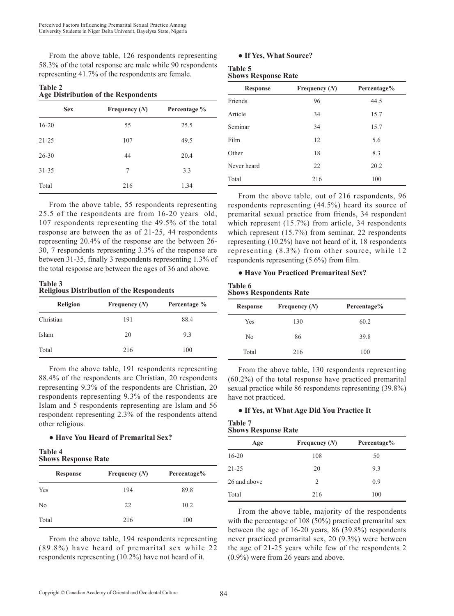From the above table, 126 respondents representing 58.3% of the total response are male while 90 respondents representing 41.7% of the respondents are female.

| <b>Table 2</b>                      |  |
|-------------------------------------|--|
| Age Distribution of the Respondents |  |

| <b>Sex</b> | Frequency $(N)$ | Percentage % |
|------------|-----------------|--------------|
| $16 - 20$  | 55              | 25.5         |
| $21 - 25$  | 107             | 49.5         |
| $26 - 30$  | 44              | 20.4         |
| $31 - 35$  | 7               | 3.3          |
| Total      | 216             | 1.34         |

From the above table, 55 respondents representing 25.5 of the respondents are from 16-20 years old, 107 respondents representing the 49.5% of the total response are between the as of 21-25, 44 respondents representing 20.4% of the response are the between 26- 30, 7 respondents representing 3.3% of the response are between 31-35, finally 3 respondents representing 1.3% of the total response are between the ages of 36 and above.

#### **Table 3 Religious Distribution of the Respondents**

| Religion  | Frequency $(N)$ | Percentage % |
|-----------|-----------------|--------------|
| Christian | 191             | 88.4         |
| Islam     | 20              | 9.3          |
| Total     | 216             | 100          |

From the above table, 191 respondents representing 88.4% of the respondents are Christian, 20 respondents representing 9.3% of the respondents are Christian, 20 respondents representing 9.3% of the respondents are Islam and 5 respondents representing are Islam and 56 respondent representing 2.3% of the respondents attend other religious.

### ● **Have You Heard of Premarital Sex?**

#### **Table 4 Shows Response Rate**

| <b>Response</b> | Frequency $(N)$ | Percentage% |
|-----------------|-----------------|-------------|
| Yes             | 194             | 89.8        |
| No              | 22              | 10.2        |
| Total           | 216             | 100         |

From the above table, 194 respondents representing (89.8%) have heard of premarital sex while 22 respondents representing (10.2%) have not heard of it.

#### ● **If Yes, What Source?**

#### **Table 5 Shows Response Rate**

| <b>Response</b> | Frequency $(N)$ | Percentage% |
|-----------------|-----------------|-------------|
| Friends         | 96              | 44.5        |
| Article         | 34              | 15.7        |
| Seminar         | 34              | 15.7        |
| Film            | 12              | 5.6         |
| Other           | 18              | 8.3         |
| Never heard     | 22              | 20.2        |
| Total           | 216             | 100         |

From the above table, out of 216 respondents, 96 respondents representing (44.5%) heard its source of premarital sexual practice from friends, 34 respondent which represent (15.7%) from article, 34 respondents which represent (15.7%) from seminar, 22 respondents representing (10.2%) have not heard of it, 18 respondents representing (8.3%) from other source, while 12 respondents representing (5.6%) from film.

#### ● **Have You Practiced Premariteal Sex?**

#### **Table 6 Shows Respondents Rate**

| <b>Response</b> | Frequency $(N)$ | Percentage% |
|-----------------|-----------------|-------------|
| Yes             | 130             | 60.2        |
| No              | 86              | 39.8        |
| Total           | 216             | 100         |

From the above table, 130 respondents representing (60.2%) of the total response have practiced premarital sexual practice while 86 respondents representing (39.8%) have not practiced.

### ● **If Yes, at What Age Did You Practice It**

#### **Table 7 Shows Response Rate**

| опона гозроняе гласс |                 |             |  |
|----------------------|-----------------|-------------|--|
| Age                  | Frequency $(N)$ | Percentage% |  |
| $16 - 20$            | 108             | 50          |  |
| $21 - 25$            | 20              | 9.3         |  |
| 26 and above         | 2               | 0.9         |  |
| Total                | 216             | 100         |  |

From the above table, majority of the respondents with the percentage of 108 (50%) practiced premarital sex between the age of 16-20 years, 86 (39.8%) respondents never practiced premarital sex, 20 (9.3%) were between the age of 21-25 years while few of the respondents 2 (0.9%) were from 26 years and above.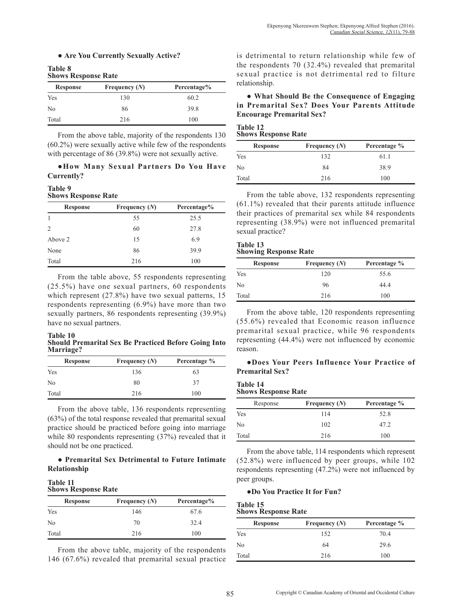#### ● **Are You Currently Sexually Active?**

#### **Table 8 Shows Response Rate**

| <b>Response</b> | Frequency $(N)$ | Percentage% |
|-----------------|-----------------|-------------|
| Yes             | 130             | 60.2        |
| N <sub>0</sub>  | 86              | 39.8        |
| Total           | 216             | 100         |

From the above table, majority of the respondents 130 (60.2%) were sexually active while few of the respondents with percentage of 86 (39.8%) were not sexually active.

#### **●How Many Sexual Partners Do You Have Currently?**

#### **Table 9 Shows Response Rate**

| <b>Response</b> | Frequency $(N)$ | Percentage% |
|-----------------|-----------------|-------------|
|                 | 55              | 25.5        |
| $\overline{c}$  | 60              | 27.8        |
| Above 2         | 15              | 6.9         |
| None            | 86              | 39.9        |
| Total           | 216             | 100         |

From the table above, 55 respondents representing (25.5%) have one sexual partners, 60 respondents which represent (27.8%) have two sexual patterns, 15 respondents representing (6.9%) have more than two sexually partners, 86 respondents representing (39.9%) have no sexual partners.

#### **Table 10 Should Premarital Sex Be Practiced Before Going Into Marriage?**

| <b>Response</b> | Frequency $(N)$ | Percentage % |
|-----------------|-----------------|--------------|
| Yes             | 136             | 63           |
| N <sub>0</sub>  | 80              | 37           |
| Total           | 216             | 100          |

From the above table, 136 respondents representing (63%) of the total response revealed that premarital sexual practice should be practiced before going into marriage while 80 respondents representing (37%) revealed that it should not be one practiced.

### ● **Premarital Sex Detrimental to Future Intimate Relationship**

#### **Table 11 Shows Response Rate**

| <b>Response</b> | Frequency $(N)$ | Percentage% |
|-----------------|-----------------|-------------|
| Yes             | 146             | 67.6        |
| N <sub>0</sub>  | 70              | 32.4        |
| Total           | 216             | 100         |

From the above table, majority of the respondents 146 (67.6%) revealed that premarital sexual practice is detrimental to return relationship while few of the respondents 70 (32.4%) revealed that premarital sexual practice is not detrimental red to filture relationship.

● **What Should Be the Consequence of Engaging in Premarital Sex? Does Your Parents Attitude Encourage Premarital Sex?** 

#### **Table 12 Shows Response Rate**

| <b>Response</b> | Frequency $(N)$ | Percentage % |  |  |
|-----------------|-----------------|--------------|--|--|
| Yes             | 132             | 61.1         |  |  |
| N <sub>0</sub>  | 84              | 38.9         |  |  |
| Total           | 216             | 100          |  |  |

From the table above, 132 respondents representing (61.1%) revealed that their parents attitude influence their practices of premarital sex while 84 respondents representing (38.9%) were not influenced premarital sexual practice?

#### **Table 13 Showing Response Rate**

| <b>Response</b> | Frequency $(N)$ | Percentage % |  |  |
|-----------------|-----------------|--------------|--|--|
| Yes             | 120             | 55.6         |  |  |
| No              | 96              | 44.4         |  |  |
| Total           | 216             | 100          |  |  |

From the above table, 120 respondents representing (55.6%) revealed that Economic reason influence premarital sexual practice, while 96 respondents representing (44.4%) were not influenced by economic reason.

### ●**Does Your Peers Influence Your Practice of Premarital Sex?**

#### **Table 14 Shows Response Rate**

| эному кезроняе каш |                 |              |  |  |  |  |  |
|--------------------|-----------------|--------------|--|--|--|--|--|
| Response           | Frequency $(N)$ | Percentage % |  |  |  |  |  |
| Yes                | 114             | 52.8         |  |  |  |  |  |
| No                 | 102             | 47.2         |  |  |  |  |  |
| Total              | 216             | 100          |  |  |  |  |  |

From the above table, 114 respondents which represent (52.8%) were influenced by peer groups, while 102 respondents representing (47.2%) were not influenced by peer groups.

### **●Do You Practice It for Fun?**

#### **Table 15 Shows Response Rate**

| опона поэронае папе<br>Percentage %<br>Frequency $(N)$<br><b>Response</b> |     |      |  |  |  |  |  |  |
|---------------------------------------------------------------------------|-----|------|--|--|--|--|--|--|
| Yes                                                                       | 152 | 70.4 |  |  |  |  |  |  |
| No                                                                        | 64  | 29.6 |  |  |  |  |  |  |
| Total                                                                     | 216 | 100  |  |  |  |  |  |  |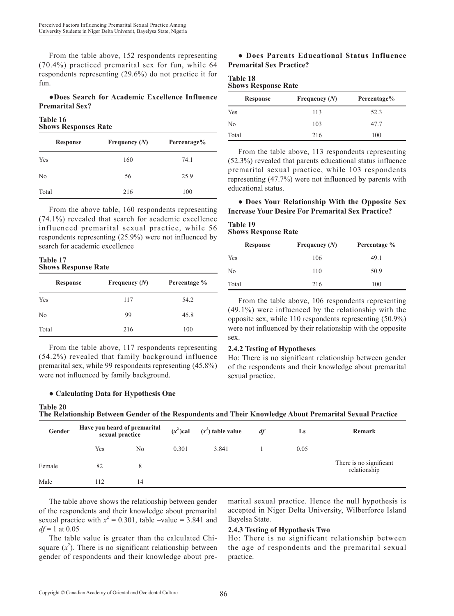From the table above, 152 respondents representing (70.4%) practiced premarital sex for fun, while 64 respondents representing (29.6%) do not practice it for fun.

### ●**Does Search for Academic Excellence Influence Premarital Sex?**

#### **Table 16 Shows Responses Rate**

| <b>Response</b> | Frequency $(N)$ | Percentage% |  |  |
|-----------------|-----------------|-------------|--|--|
| Yes             | 160             | 74.1        |  |  |
| N <sub>0</sub>  | 56              | 25.9        |  |  |
| Total           | 216             | 100         |  |  |

From the above table, 160 respondents representing (74.1%) revealed that search for academic excellence influenced premarital sexual practice, while 56 respondents representing (25.9%) were not influenced by search for academic excellence

#### **Table 17 Shows Response Rate**

| <b>Response</b> | Frequency $(N)$ | Percentage % |
|-----------------|-----------------|--------------|
| Yes             | 117             | 54.2         |
| N <sub>0</sub>  | 99              | 45.8         |
| Total           | 216             | 100          |

From the table above, 117 respondents representing (54.2%) revealed that family background influence premarital sex, while 99 respondents representing (45.8%) were not influenced by family background.

### ● **Calculating Data for Hypothesis One**

### ● **Does Parents Educational Status Influence Premarital Sex Practice?**

| <b>Table 18</b> |                            |  |
|-----------------|----------------------------|--|
|                 | <b>Shows Response Rate</b> |  |

| <b>Response</b> | Frequency $(N)$ | Percentage% |  |  |
|-----------------|-----------------|-------------|--|--|
| Yes             | 113             | 52.3        |  |  |
| No              | 103             | 47.7        |  |  |
| Total           | 216             | 100         |  |  |

From the table above, 113 respondents representing (52.3%) revealed that parents educational status influence premarital sexual practice, while 103 respondents representing (47.7%) were not influenced by parents with educational status.

#### ● **Does Your Relationship With the Opposite Sex Increase Your Desire For Premarital Sex Practice?**

### **Table 19 Shows Response Rate**

| <b>Response</b> | Frequency $(N)$ | Percentage % |  |  |
|-----------------|-----------------|--------------|--|--|
| Yes             | 106             | 49.1         |  |  |
| N <sub>0</sub>  | 110             | 50.9         |  |  |
| Total           | 216             | 100          |  |  |

From the table above, 106 respondents representing (49.1%) were influenced by the relationship with the opposite sex, while 110 respondents representing (50.9%) were not influenced by their relationship with the opposite sex.

### **2.4.2 Testing of Hypotheses**

Ho: There is no significant relationship between gender of the respondents and their knowledge about premarital sexual practice.

| <b>Table 20</b><br>The Relationship Between Gender of the Respondents and Their Knowledge About Premarital Sexual Practice |
|----------------------------------------------------------------------------------------------------------------------------|
|----------------------------------------------------------------------------------------------------------------------------|

| Gender | Have you heard of premarital<br>sexual practice |    | $(x^2)$ cal | $(x^2)$ table value | df | Ls   | Remark                                  |
|--------|-------------------------------------------------|----|-------------|---------------------|----|------|-----------------------------------------|
|        | Yes                                             | No | 0.301       | 3.841               |    | 0.05 |                                         |
| Female | 82                                              |    |             |                     |    |      | There is no significant<br>relationship |
| Male   | 112                                             | 14 |             |                     |    |      |                                         |

The table above shows the relationship between gender of the respondents and their knowledge about premarital sexual practice with  $x^2 = 0.301$ , table –value = 3.841 and  $df = 1$  at 0.05

The table value is greater than the calculated Chisquare  $(x^2)$ . There is no significant relationship between gender of respondents and their knowledge about premarital sexual practice. Hence the null hypothesis is accepted in Niger Delta University, Wilberforce Island Bayelsa State.

### **2.4.3 Testing of Hypothesis Two**

Ho: There is no significant relationship between the age of respondents and the premarital sexual practice.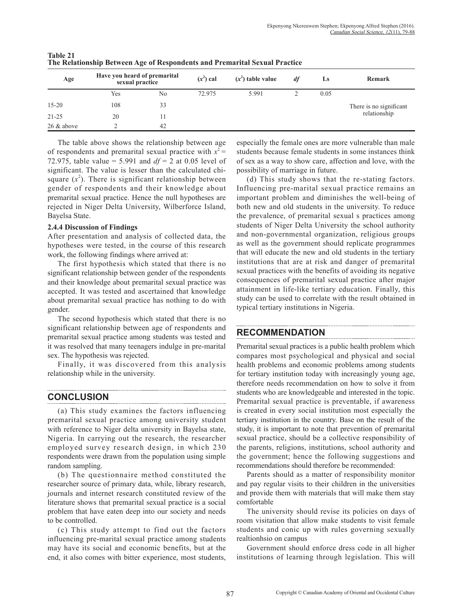| Age           | Have you heard of premarital<br>sexual practice |                | $(x^2)$ cal | $(x^2)$ table value | df | Ls   | Remark                  |
|---------------|-------------------------------------------------|----------------|-------------|---------------------|----|------|-------------------------|
|               | Yes                                             | N <sub>0</sub> | 72.975      | 5.991               |    | 0.05 |                         |
| $15 - 20$     | 108                                             | 33             |             |                     |    |      | There is no significant |
| $21 - 25$     | 20                                              |                |             |                     |    |      | relationship            |
| $26 \&$ above |                                                 | 42             |             |                     |    |      |                         |

**Table 21 The Relationship Between Age of Respondents and Premarital Sexual Practice** 

The table above shows the relationship between age of respondents and premarital sexual practice with  $x^2 =$ 72.975, table value = 5.991 and  $df = 2$  at 0.05 level of significant. The value is lesser than the calculated chisquare  $(x^2)$ . There is significant relationship between gender of respondents and their knowledge about premarital sexual practice. Hence the null hypotheses are rejected in Niger Delta University, Wilberforce Island, Bayelsa State.

#### **2.4.4 Discussion of Findings**

After presentation and analysis of collected data, the hypotheses were tested, in the course of this research work, the following findings where arrived at:

The first hypothesis which stated that there is no significant relationship between gender of the respondents and their knowledge about premarital sexual practice was accepted. It was tested and ascertained that knowledge about premarital sexual practice has nothing to do with gender.

The second hypothesis which stated that there is no significant relationship between age of respondents and premarital sexual practice among students was tested and it was resolved that many teenagers indulge in pre-marital sex. The hypothesis was rejected.

Finally, it was discovered from this analysis relationship while in the university.

### **CONCLUSION**

(a) This study examines the factors influencing premarital sexual practice among university student with reference to Niger delta university in Bayelsa state, Nigeria. In carrying out the research, the researcher employed survey research design, in which 230 respondents were drawn from the population using simple random sampling.

(b) The questionnaire method constituted the researcher source of primary data, while, library research, journals and internet research constituted review of the literature shows that premarital sexual practice is a social problem that have eaten deep into our society and needs to be controlled.

(c) This study attempt to find out the factors influencing pre-marital sexual practice among students may have its social and economic benefits, but at the end, it also comes with bitter experience, most students, especially the female ones are more vulnerable than male students because female students in some instances think of sex as a way to show care, affection and love, with the possibility of marriage in future.

(d) This study shows that the re-stating factors. Influencing pre-marital sexual practice remains an important problem and diminishes the well-being of both new and old students in the university. To reduce the prevalence, of premarital sexual s practices among students of Niger Delta University the school authority and non-governmental organization, religious groups as well as the government should replicate programmes that will educate the new and old students in the tertiary institutions that are at risk and danger of premarital sexual practices with the benefits of avoiding its negative consequences of premarital sexual practice after major attainment in life-like tertiary education. Finally, this study can be used to correlate with the result obtained in typical tertiary institutions in Nigeria.

### **RECOMMENDATION**

Premarital sexual practices is a public health problem which compares most psychological and physical and social health problems and economic problems among students for tertiary institution today with increasingly young age, therefore needs recommendation on how to solve it from students who are knowledgeable and interested in the topic. Premarital sexual practice is preventable, if awareness is created in every social institution most especially the tertiary institution in the country. Base on the result of the study, it is important to note that prevention of premarital sexual practice, should be a collective responsibility of the parents, religions, institutions, school authority and the government; hence the following suggestions and recommendations should therefore be recommended:

Parents should as a matter of responsibility monitor and pay regular visits to their children in the universities and provide them with materials that will make them stay comfortable

The university should revise its policies on days of room visitation that allow make students to visit female students and conic up with rules governing sexually realtionhsio on campus

Government should enforce dress code in all higher institutions of learning through legislation. This will